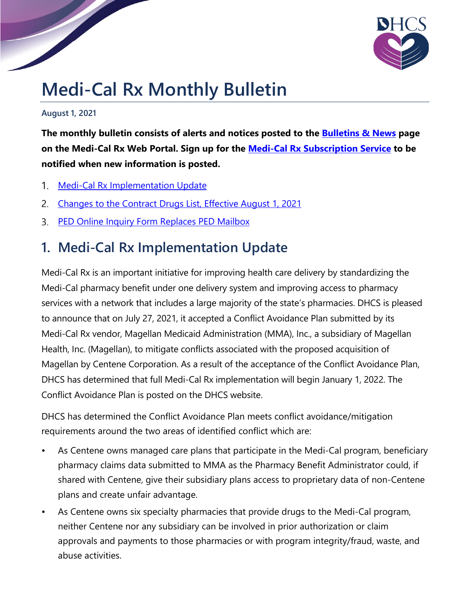

## **Medi-Cal Rx Monthly Bulletin**

**August 1, 2021**

**The monthly bulletin consists of alerts and notices posted to the [Bulletins](https://medi-calrx.dhcs.ca.gov/provider/pharmacy-news/) & News page on the Medi-Cal Rx Web Portal. Sign up for the Medi-Cal Rx [Subscription](https://mcrxsspages.dhcs.ca.gov/Medi-CalRxDHCScagov-Subscription-Sign-Up) Service to be notified when new information is posted.**

- Medi-Cal Rx [Implementation](#page-0-0) Update  $1_{\cdot}$
- [Changes](#page-1-0) to the Contract Drugs List, Effective August 1, 2021  $2.$
- PED Online Inquiry Form [Replaces](#page-2-0) PED Mailbox

## <span id="page-0-0"></span>**1. Medi-Cal Rx Implementation Update**

Medi-Cal Rx is an important initiative for improving health care delivery by standardizing the Medi-Cal pharmacy benefit under one delivery system and improving access to pharmacy services with a network that includes a large majority of the state's pharmacies. DHCS is pleased to announce that on July 27, 2021, it accepted a Conflict Avoidance Plan submitted by its Medi-Cal Rx vendor, Magellan Medicaid Administration (MMA), Inc., a subsidiary of Magellan Health, Inc. (Magellan), to mitigate conflicts associated with the proposed acquisition of Magellan by Centene Corporation. As a result of the acceptance of the Conflict Avoidance Plan, DHCS has determined that full Medi-Cal Rx implementation will begin January 1, 2022. The Conflict Avoidance Plan is posted on the DHCS website.

DHCS has determined the Conflict Avoidance Plan meets conflict avoidance/mitigation requirements around the two areas of identified conflict which are:

- As Centene owns managed care plans that participate in the Medi-Cal program, beneficiary pharmacy claims data submitted to MMA as the Pharmacy Benefit Administrator could, if shared with Centene, give their subsidiary plans access to proprietary data of non-Centene plans and create unfair advantage.
- As Centene owns six specialty pharmacies that provide drugs to the Medi-Cal program, neither Centene nor any subsidiary can be involved in prior authorization or claim approvals and payments to those pharmacies or with program integrity/fraud, waste, and abuse activities.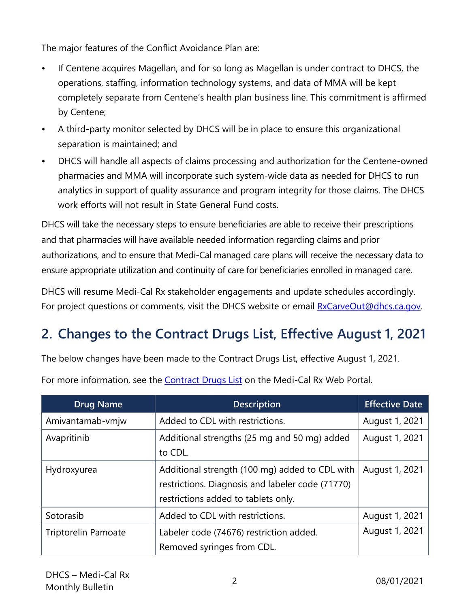The major features of the Conflict Avoidance Plan are:

- If Centene acquires Magellan, and for so long as Magellan is under contract to DHCS, the operations, staffing, information technology systems, and data of MMA will be kept completely separate from Centene's health plan business line. This commitment is affirmed by Centene;
- A third-party monitor selected by DHCS will be in place to ensure this organizational separation is maintained; and
- DHCS will handle all aspects of claims processing and authorization for the Centene-owned pharmacies and MMA will incorporate such system-wide data as needed for DHCS to run analytics in support of quality assurance and program integrity for those claims. The DHCS work efforts will not result in State General Fund costs.

DHCS will take the necessary steps to ensure beneficiaries are able to receive their prescriptions and that pharmacies will have available needed information regarding claims and prior authorizations, and to ensure that Medi-Cal managed care plans will receive the necessary data to ensure appropriate utilization and continuity of care for beneficiaries enrolled in managed care.

DHCS will resume Medi-Cal Rx stakeholder engagements and update schedules accordingly. For project questions or comments, visit the DHCS website or email **[RxCarveOut@dhcs.ca.gov.](mailto:RxCarveOut@dhcs.ca.gov)** 

## <span id="page-1-0"></span>**2. Changes to the Contract Drugs List, Effective August 1, 2021**

The below changes have been made to the Contract Drugs List, effective August 1, 2021.

For more information, see the [Contract](https://medi-calrx.dhcs.ca.gov/home/cdl/) Drugs List on the Medi-Cal Rx Web Portal.

| <b>Drug Name</b>           | <b>Description</b>                                                                                                                        | <b>Effective Date</b> |
|----------------------------|-------------------------------------------------------------------------------------------------------------------------------------------|-----------------------|
| Amivantamab-vmjw           | Added to CDL with restrictions.                                                                                                           | August 1, 2021        |
| Avapritinib                | Additional strengths (25 mg and 50 mg) added<br>to CDL.                                                                                   | August 1, 2021        |
| Hydroxyurea                | Additional strength (100 mg) added to CDL with<br>restrictions. Diagnosis and labeler code (71770)<br>restrictions added to tablets only. | August 1, 2021        |
| Sotorasib                  | Added to CDL with restrictions.                                                                                                           | August 1, 2021        |
| <b>Triptorelin Pamoate</b> | Labeler code (74676) restriction added.<br>Removed syringes from CDL.                                                                     | August 1, 2021        |